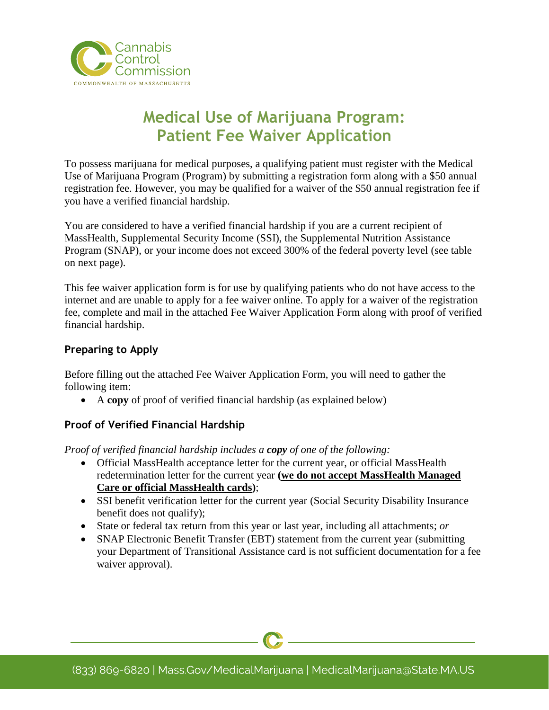

# **Medical Use of Marijuana Program: Patient Fee Waiver Application**

To possess marijuana for medical purposes, a qualifying patient must register with the Medical Use of Marijuana Program (Program) by submitting a registration form along with a \$50 annual registration fee. However, you may be qualified for a waiver of the \$50 annual registration fee if you have a verified financial hardship.

You are considered to have a verified financial hardship if you are a current recipient of MassHealth, Supplemental Security Income (SSI), the Supplemental Nutrition Assistance Program (SNAP), or your income does not exceed 300% of the federal poverty level (see table on next page).

This fee waiver application form is for use by qualifying patients who do not have access to the internet and are unable to apply for a fee waiver online. To apply for a waiver of the registration fee, complete and mail in the attached Fee Waiver Application Form along with proof of verified financial hardship.

# **Preparing to Apply**

Before filling out the attached Fee Waiver Application Form, you will need to gather the following item:

• A **copy** of proof of verified financial hardship (as explained below)

# **Proof of Verified Financial Hardship**

*Proof of verified financial hardship includes a copy of one of the following:* 

- Official MassHealth acceptance letter for the current year, or official MassHealth redetermination letter for the current year **(we do not accept MassHealth Managed Care or official MassHealth cards)**;
- SSI benefit verification letter for the current year (Social Security Disability Insurance benefit does not qualify);
- State or federal tax return from this year or last year, including all attachments; *or*
- SNAP Electronic Benefit Transfer (EBT) statement from the current year (submitting your Department of Transitional Assistance card is not sufficient documentation for a fee waiver approval).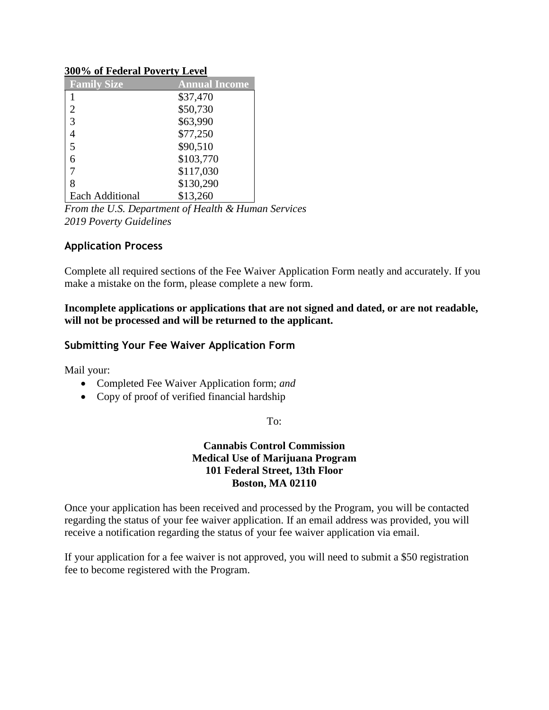#### **300% of Federal Poverty Level**

| <b>Family Size</b>     | <b>Annual Income</b> |
|------------------------|----------------------|
|                        | \$37,470             |
| 2                      | \$50,730             |
| 3                      | \$63,990             |
|                        | \$77,250             |
| 5                      | \$90,510             |
| 6                      | \$103,770            |
|                        | \$117,030            |
| 8                      | \$130,290            |
| <b>Each Additional</b> | \$13,260             |

*From the U.S. Department of Health & Human Services 2019 Poverty Guidelines*

#### **Application Process**

Complete all required sections of the Fee Waiver Application Form neatly and accurately. If you make a mistake on the form, please complete a new form.

#### **Incomplete applications or applications that are not signed and dated, or are not readable, will not be processed and will be returned to the applicant.**

#### **Submitting Your Fee Waiver Application Form**

Mail your:

- Completed Fee Waiver Application form; *and*
- Copy of proof of verified financial hardship

#### To:

#### **Cannabis Control Commission Medical Use of Marijuana Program 101 Federal Street, 13th Floor Boston, MA 02110**

Once your application has been received and processed by the Program, you will be contacted regarding the status of your fee waiver application. If an email address was provided, you will receive a notification regarding the status of your fee waiver application via email.

If your application for a fee waiver is not approved, you will need to submit a \$50 registration fee to become registered with the Program.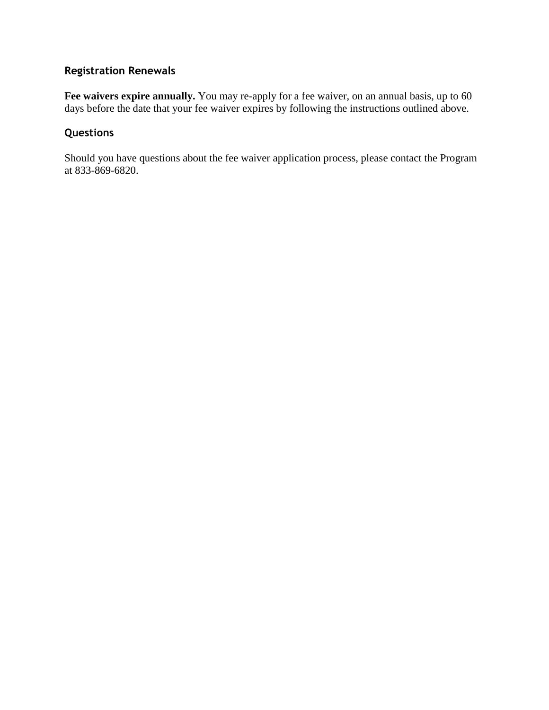# **Registration Renewals**

Fee waivers expire annually. You may re-apply for a fee waiver, on an annual basis, up to 60 days before the date that your fee waiver expires by following the instructions outlined above.

# **Questions**

Should you have questions about the fee waiver application process, please contact the Program at 833-869-6820.